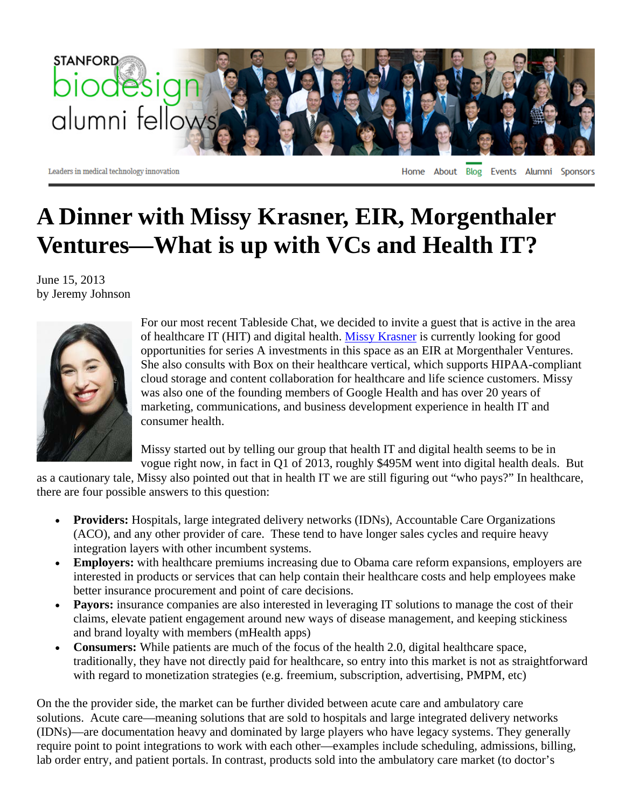

Leaders in medical technology innovation

Home About Blog Events Alumni Sponsors

## **A Dinner with Missy Krasner, EIR, Morgenthaler Ventures—What is up with VCs and Health IT?**

June 15, 2013 by Jeremy Johnson



For our most recent Tableside Chat, we decided to invite a guest that is active in the area of healthcare IT (HIT) and digital health. Missy Krasner is currently looking for good opportunities for series A investments in this space as an EIR at Morgenthaler Ventures. She also consults with Box on their healthcare vertical, which supports HIPAA-compliant cloud storage and content collaboration for healthcare and life science customers. Missy was also one of the founding members of Google Health and has over 20 years of marketing, communications, and business development experience in health IT and consumer health.

Missy started out by telling our group that health IT and digital health seems to be in vogue right now, in fact in Q1 of 2013, roughly \$495M went into digital health deals. But

as a cautionary tale, Missy also pointed out that in health IT we are still figuring out "who pays?" In healthcare, there are four possible answers to this question:

- **Providers:** Hospitals, large integrated delivery networks (IDNs), Accountable Care Organizations (ACO), and any other provider of care. These tend to have longer sales cycles and require heavy integration layers with other incumbent systems.
- **Employers:** with healthcare premiums increasing due to Obama care reform expansions, employers are interested in products or services that can help contain their healthcare costs and help employees make better insurance procurement and point of care decisions.
- **Payors:** insurance companies are also interested in leveraging IT solutions to manage the cost of their claims, elevate patient engagement around new ways of disease management, and keeping stickiness and brand loyalty with members (mHealth apps)
- **Consumers:** While patients are much of the focus of the health 2.0, digital healthcare space, traditionally, they have not directly paid for healthcare, so entry into this market is not as straightforward with regard to monetization strategies (e.g. freemium, subscription, advertising, PMPM, etc)

On the the provider side, the market can be further divided between acute care and ambulatory care solutions. Acute care—meaning solutions that are sold to hospitals and large integrated delivery networks (IDNs)—are documentation heavy and dominated by large players who have legacy systems. They generally require point to point integrations to work with each other—examples include scheduling, admissions, billing, lab order entry, and patient portals. In contrast, products sold into the ambulatory care market (to doctor's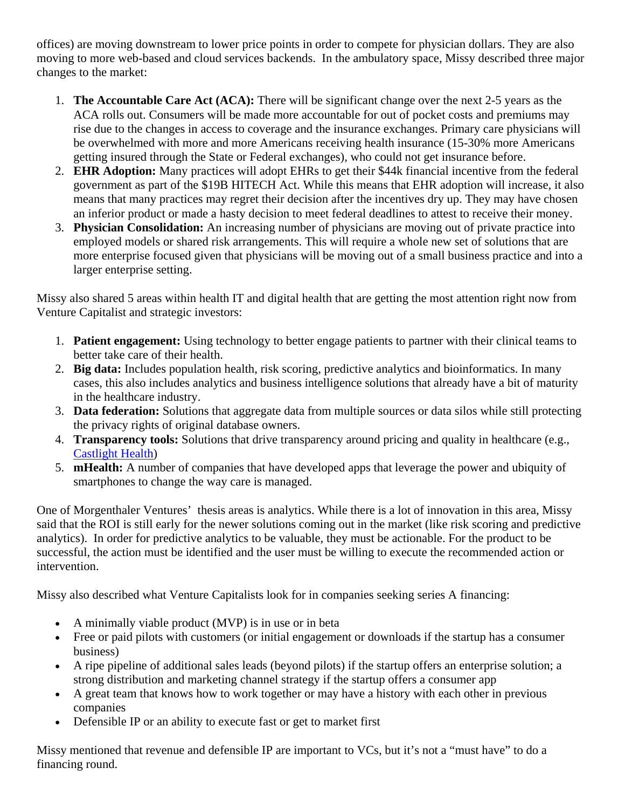offices) are moving downstream to lower price points in order to compete for physician dollars. They are also moving to more web-based and cloud services backends. In the ambulatory space, Missy described three major changes to the market:

- 1. **The Accountable Care Act (ACA):** There will be significant change over the next 2-5 years as the ACA rolls out. Consumers will be made more accountable for out of pocket costs and premiums may rise due to the changes in access to coverage and the insurance exchanges. Primary care physicians will be overwhelmed with more and more Americans receiving health insurance (15-30% more Americans getting insured through the State or Federal exchanges), who could not get insurance before.
- 2. **EHR Adoption:** Many practices will adopt EHRs to get their \$44k financial incentive from the federal government as part of the \$19B HITECH Act. While this means that EHR adoption will increase, it also means that many practices may regret their decision after the incentives dry up. They may have chosen an inferior product or made a hasty decision to meet federal deadlines to attest to receive their money.
- 3. **Physician Consolidation:** An increasing number of physicians are moving out of private practice into employed models or shared risk arrangements. This will require a whole new set of solutions that are more enterprise focused given that physicians will be moving out of a small business practice and into a larger enterprise setting.

Missy also shared 5 areas within health IT and digital health that are getting the most attention right now from Venture Capitalist and strategic investors:

- 1. **Patient engagement:** Using technology to better engage patients to partner with their clinical teams to better take care of their health.
- 2. **Big data:** Includes population health, risk scoring, predictive analytics and bioinformatics. In many cases, this also includes analytics and business intelligence solutions that already have a bit of maturity in the healthcare industry.
- 3. **Data federation:** Solutions that aggregate data from multiple sources or data silos while still protecting the privacy rights of original database owners.
- 4. **Transparency tools:** Solutions that drive transparency around pricing and quality in healthcare (e.g., Castlight Health)
- 5. **mHealth:** A number of companies that have developed apps that leverage the power and ubiquity of smartphones to change the way care is managed.

One of Morgenthaler Ventures' thesis areas is analytics. While there is a lot of innovation in this area, Missy said that the ROI is still early for the newer solutions coming out in the market (like risk scoring and predictive analytics). In order for predictive analytics to be valuable, they must be actionable. For the product to be successful, the action must be identified and the user must be willing to execute the recommended action or intervention.

Missy also described what Venture Capitalists look for in companies seeking series A financing:

- A minimally viable product (MVP) is in use or in beta
- Free or paid pilots with customers (or initial engagement or downloads if the startup has a consumer business)
- A ripe pipeline of additional sales leads (beyond pilots) if the startup offers an enterprise solution; a strong distribution and marketing channel strategy if the startup offers a consumer app
- A great team that knows how to work together or may have a history with each other in previous companies
- Defensible IP or an ability to execute fast or get to market first

Missy mentioned that revenue and defensible IP are important to VCs, but it's not a "must have" to do a financing round.